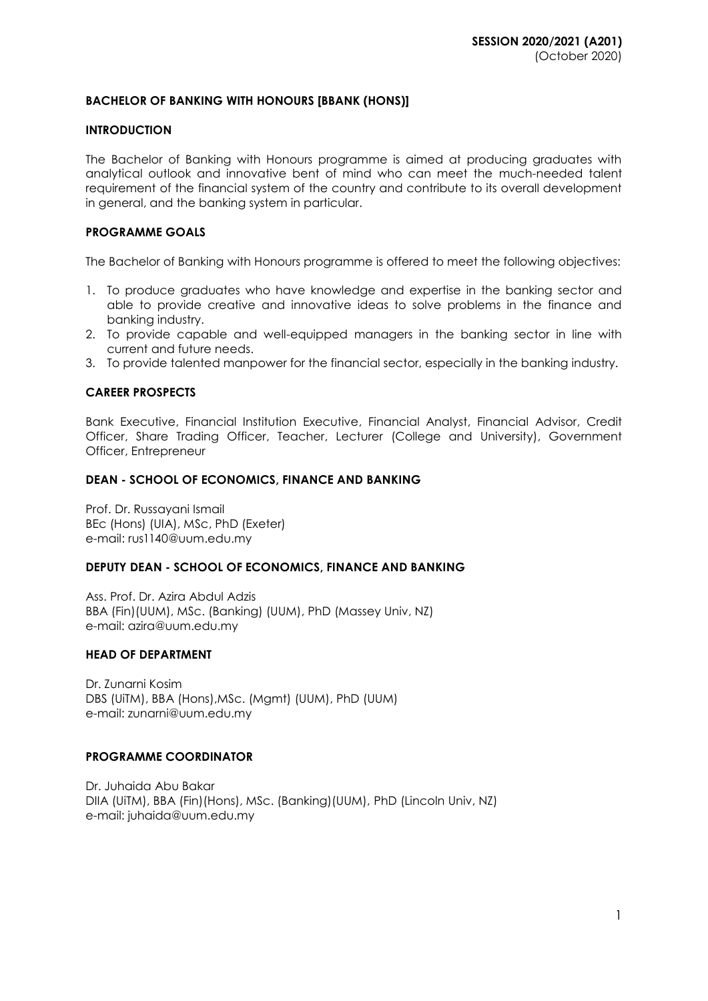## **BACHELOR OF BANKING WITH HONOURS [BBANK (HONS)]**

#### **INTRODUCTION**

The Bachelor of Banking with Honours programme is aimed at producing graduates with analytical outlook and innovative bent of mind who can meet the much-needed talent requirement of the financial system of the country and contribute to its overall development in general, and the banking system in particular.

#### **PROGRAMME GOALS**

The Bachelor of Banking with Honours programme is offered to meet the following objectives:

- 1. To produce graduates who have knowledge and expertise in the banking sector and able to provide creative and innovative ideas to solve problems in the finance and banking industry.
- 2. To provide capable and well-equipped managers in the banking sector in line with current and future needs.
- 3. To provide talented manpower for the financial sector, especially in the banking industry.

### **CAREER PROSPECTS**

Bank Executive, Financial Institution Executive, Financial Analyst, Financial Advisor, Credit Officer, Share Trading Officer, Teacher, Lecturer (College and University), Government Officer, Entrepreneur

#### **DEAN - SCHOOL OF ECONOMICS, FINANCE AND BANKING**

Prof. Dr. Russayani Ismail BEc (Hons) (UIA), MSc, PhD (Exeter) e-mail: [rus1140@uum.edu.my](mailto:rus1140@uum.edu.my)

### **DEPUTY DEAN - SCHOOL OF ECONOMICS, FINANCE AND BANKING**

Ass. Prof. Dr. Azira Abdul Adzis BBA (Fin)(UUM), MSc. (Banking) (UUM), PhD (Massey Univ, NZ) e-mail: azira@uum.edu.my

#### **HEAD OF DEPARTMENT**

Dr. Zunarni Kosim DBS (UiTM), BBA (Hons),MSc. (Mgmt) (UUM), PhD (UUM) e-mail: zunarni@uum.edu.my

### **PROGRAMME COORDINATOR**

Dr. Juhaida Abu Bakar DIIA (UiTM), BBA (Fin)(Hons), MSc. (Banking)(UUM), PhD (Lincoln Univ, NZ) e-mail: juhaida@uum.edu.my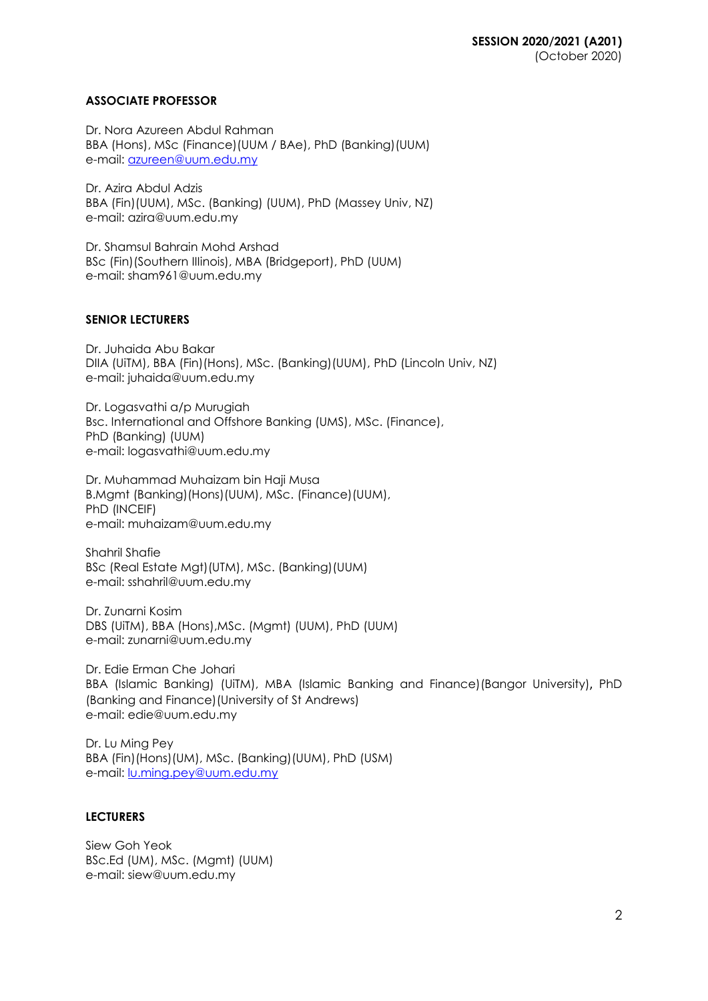# **ASSOCIATE PROFESSOR**

Dr. Nora Azureen Abdul Rahman BBA (Hons), MSc (Finance)(UUM / BAe), PhD (Banking)(UUM) e-mail: [azureen@uum.edu.my](mailto:azureen@uum.edu.my)

Dr. Azira Abdul Adzis BBA (Fin)(UUM), MSc. (Banking) (UUM), PhD (Massey Univ, NZ) e-mail: azira@uum.edu.my

Dr. Shamsul Bahrain Mohd Arshad BSc (Fin)(Southern IIIinois), MBA (Bridgeport), PhD (UUM) e-mail: [sham961@uum.edu.my](mailto:sham961@uum.edu.my)

# **SENIOR LECTURERS**

Dr. Juhaida Abu Bakar DIIA (UiTM), BBA (Fin)(Hons), MSc. (Banking)(UUM), PhD (Lincoln Univ, NZ) e-mail: juhaida@uum.edu.my

Dr. Logasvathi a/p Murugiah Bsc. International and Offshore Banking (UMS), MSc. (Finance), PhD (Banking) (UUM) e-mail: [logasvathi@uum.edu.my](mailto:logasvathi@uum.edu.my)

Dr. Muhammad Muhaizam bin Haji Musa B.Mgmt (Banking)(Hons)(UUM), MSc. (Finance)(UUM), PhD (INCEIF) e-mail: [muhaizam@uum.edu.my](https://uummail.uum.edu.my/OWA/redir.aspx?C=316134b06fae444581b2bc670d646f2b&URL=mailto%3amuhaizam%40uum.edu.my)

Shahril Shafie BSc (Real Estate Mgt)(UTM), MSc. (Banking)(UUM) e-mail: [sshahril@uum.edu.my](mailto:sshahril@uum.edu.my)

Dr. Zunarni Kosim DBS (UiTM), BBA (Hons),MSc. (Mgmt) (UUM), PhD (UUM) e-mail: zunarni@uum.edu.my

Dr. Edie Erman Che Johari BBA (Islamic Banking) (UiTM), MBA (Islamic Banking and Finance)(Bangor University), PhD (Banking and Finance)(University of St Andrews) e-mail: edie@uum.edu.my

Dr. Lu Ming Pey BBA (Fin)(Hons)(UM), MSc. (Banking)(UUM), PhD (USM) e-mail: **lu.ming.pey@uum.edu.my** 

# **LECTURERS**

Siew Goh Yeok BSc.Ed (UM), MSc. (Mgmt) (UUM) e-mail: [siew@uum.edu.my](mailto:siew@uum.edu.my)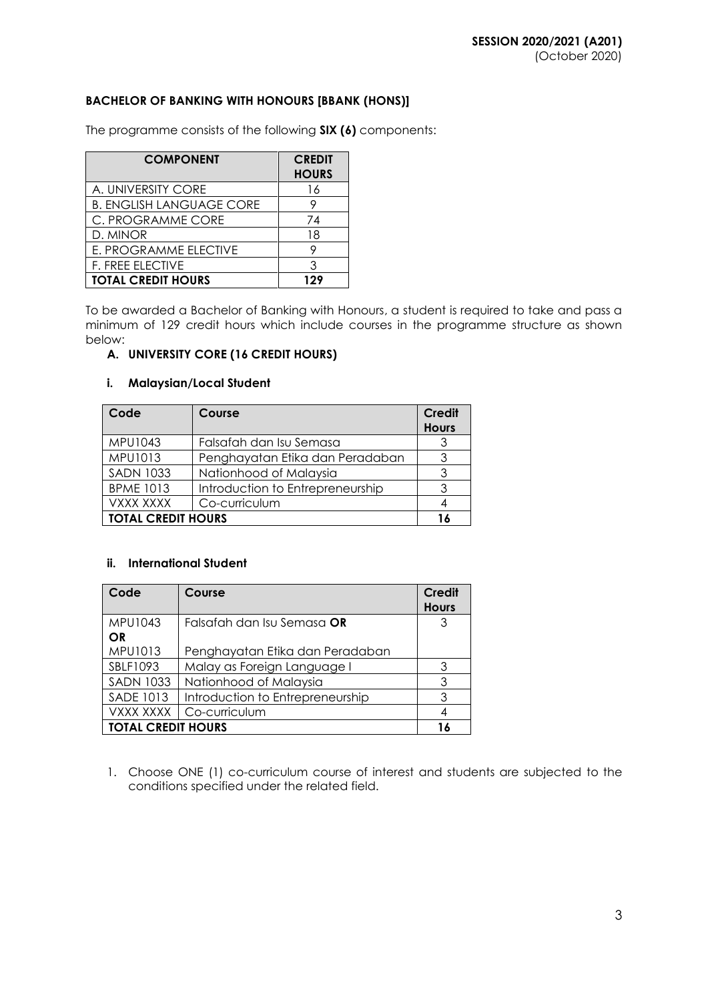# **BACHELOR OF BANKING WITH HONOURS [BBANK (HONS)]**

The programme consists of the following **SIX (6)** components:

| <b>COMPONENT</b>                | <b>CREDIT</b><br><b>HOURS</b> |
|---------------------------------|-------------------------------|
| A. UNIVERSITY CORE              | 16                            |
| <b>B. ENGLISH LANGUAGE CORE</b> |                               |
| C. PROGRAMME CORE               | 74                            |
| D. MINOR                        | 18                            |
| E. PROGRAMME ELECTIVE           |                               |
| F. FREE ELECTIVE                | ર                             |
| <b>TOTAL CREDIT HOURS</b>       | 129                           |

To be awarded a Bachelor of Banking with Honours, a student is required to take and pass a minimum of 129 credit hours which include courses in the programme structure as shown below:

### **A. UNIVERSITY CORE (16 CREDIT HOURS)**

#### **i. Malaysian/Local Student**

| Code                      | Course                           | <b>Credit</b><br><b>Hours</b> |
|---------------------------|----------------------------------|-------------------------------|
| MPU1043                   | Falsafah dan Isu Semasa          |                               |
| MPU1013                   | Penghayatan Etika dan Peradaban  | ર                             |
| <b>SADN 1033</b>          | Nationhood of Malaysia           |                               |
| <b>BPME 1013</b>          | Introduction to Entrepreneurship | ঽ                             |
| VXXX XXXX                 | Co-curriculum                    |                               |
| <b>TOTAL CREDIT HOURS</b> |                                  |                               |

### **ii. International Student**

| Code                      | Course                           | <b>Credit</b> |
|---------------------------|----------------------------------|---------------|
|                           |                                  | <b>Hours</b>  |
| MPU1043                   | Falsafah dan Isu Semasa OR       | 3             |
| OR                        |                                  |               |
| MPU1013                   | Penghayatan Etika dan Peradaban  |               |
| SBLF1093                  | Malay as Foreign Language I      | 3             |
| <b>SADN 1033</b>          | Nationhood of Malaysia           | 3             |
| <b>SADE 1013</b>          | Introduction to Entrepreneurship | 3             |
| <b>VXXX XXXX</b>          | Co-curriculum                    |               |
| <b>TOTAL CREDIT HOURS</b> |                                  |               |

1. Choose ONE (1) co-curriculum course of interest and students are subjected to the conditions specified under the related field.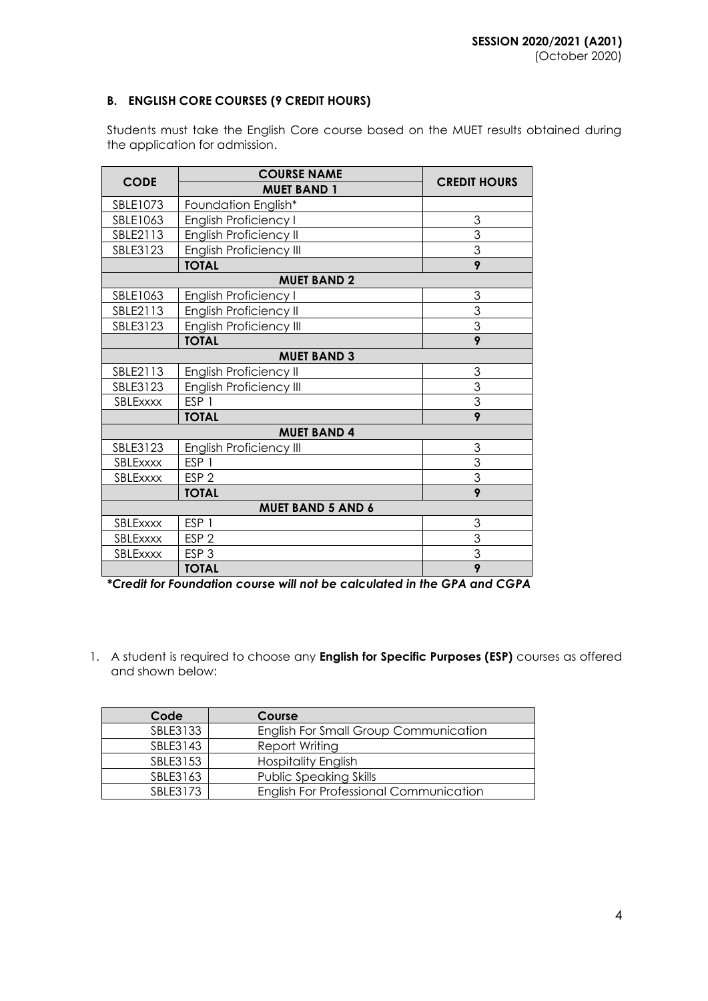# **B. ENGLISH CORE COURSES (9 CREDIT HOURS)**

Students must take the English Core course based on the MUET results obtained during the application for admission.

|                          | <b>COURSE NAME</b>             |                     |  |  |
|--------------------------|--------------------------------|---------------------|--|--|
| <b>CODE</b>              | <b>MUET BAND 1</b>             | <b>CREDIT HOURS</b> |  |  |
| SBLE1073                 | Foundation English*            |                     |  |  |
| SBLE1063                 | <b>English Proficiency I</b>   | 3                   |  |  |
| SBLE2113                 | English Proficiency II         | $\overline{3}$      |  |  |
| SBLE3123                 | <b>English Proficiency III</b> | $\overline{3}$      |  |  |
|                          | <b>TOTAL</b>                   | 9                   |  |  |
|                          | <b>MUET BAND 2</b>             |                     |  |  |
| SBLE1063                 | <b>English Proficiency I</b>   | 3                   |  |  |
| SBLE2113                 | <b>English Proficiency II</b>  | $\overline{3}$      |  |  |
| SBLE3123                 | <b>English Proficiency III</b> | $\overline{3}$      |  |  |
|                          | <b>TOTAL</b>                   | 9                   |  |  |
|                          | <b>MUET BAND 3</b>             |                     |  |  |
| SBLE2113                 | English Proficiency II         | 3                   |  |  |
| SBLE3123                 | <b>English Proficiency III</b> | $\overline{3}$      |  |  |
| SBLExxxx                 | ESP <sub>1</sub>               | 3                   |  |  |
|                          | <b>TOTAL</b>                   | 9                   |  |  |
|                          | <b>MUET BAND 4</b>             |                     |  |  |
| SBLE3123                 | <b>English Proficiency III</b> | 3                   |  |  |
| SBLExxxx                 | ESP <sub>1</sub>               | $\overline{3}$      |  |  |
| <b>SBLEXXXX</b>          | ESP <sub>2</sub>               | $\overline{3}$      |  |  |
|                          | <b>TOTAL</b>                   | 9                   |  |  |
| <b>MUET BAND 5 AND 6</b> |                                |                     |  |  |
| SBLExxxx                 | ESP <sub>1</sub>               | 3                   |  |  |
| SBLExxxx                 | ESP <sub>2</sub>               | 3                   |  |  |
| <b>SBLEXXXX</b>          | ESP <sub>3</sub>               | $\overline{3}$      |  |  |
|                          | <b>TOTAL</b>                   | 9                   |  |  |

*\*Credit for Foundation course will not be calculated in the GPA and CGPA*

1. A student is required to choose any **English for Specific Purposes (ESP)** courses as offered and shown below:

| Code     | Course                                        |
|----------|-----------------------------------------------|
| SBLE3133 | English For Small Group Communication         |
| SBLE3143 | Report Writing                                |
| SBLE3153 | <b>Hospitality English</b>                    |
| SBLE3163 | <b>Public Speaking Skills</b>                 |
| SBLE3173 | <b>English For Professional Communication</b> |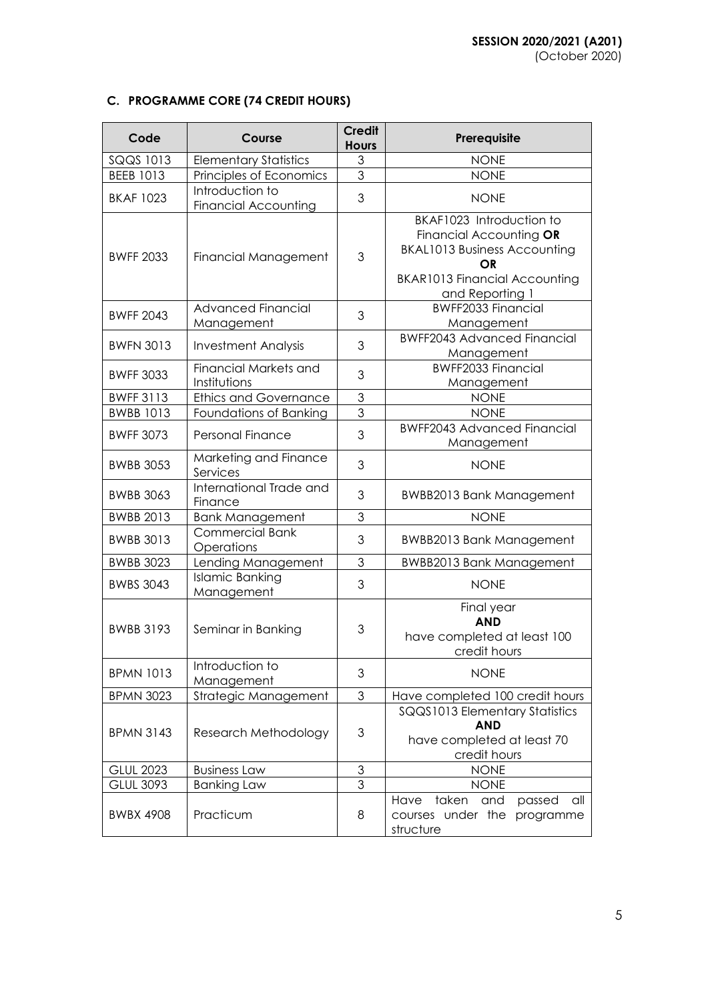# **C. PROGRAMME CORE (74 CREDIT HOURS)**

| Code             | Course                                         | <b>Credit</b><br><b>Hours</b> | Prerequisite                                                                                                                                                |
|------------------|------------------------------------------------|-------------------------------|-------------------------------------------------------------------------------------------------------------------------------------------------------------|
| SQQS 1013        | <b>Elementary Statistics</b>                   | 3                             | <b>NONE</b>                                                                                                                                                 |
| <b>BEEB 1013</b> | Principles of Economics                        | $\overline{3}$                | <b>NONE</b>                                                                                                                                                 |
| <b>BKAF 1023</b> | Introduction to<br><b>Financial Accounting</b> | 3                             | <b>NONE</b>                                                                                                                                                 |
| <b>BWFF 2033</b> | Financial Management                           | 3                             | BKAF1023 Introduction to<br>Financial Accounting OR<br><b>BKAL1013 Business Accounting</b><br>OR<br><b>BKAR1013 Financial Accounting</b><br>and Reporting 1 |
| <b>BWFF 2043</b> | <b>Advanced Financial</b><br>Management        | 3                             | <b>BWFF2033 Financial</b><br>Management                                                                                                                     |
| <b>BWFN 3013</b> | <b>Investment Analysis</b>                     | 3                             | <b>BWFF2043 Advanced Financial</b><br>Management                                                                                                            |
| <b>BWFF 3033</b> | <b>Financial Markets and</b><br>Institutions   | 3                             | <b>BWFF2033 Financial</b><br>Management                                                                                                                     |
| <b>BWFF 3113</b> | <b>Ethics and Governance</b>                   | 3                             | <b>NONE</b>                                                                                                                                                 |
| <b>BWBB 1013</b> | Foundations of Banking                         | 3                             | <b>NONE</b>                                                                                                                                                 |
| <b>BWFF 3073</b> | <b>Personal Finance</b>                        | 3                             | <b>BWFF2043 Advanced Financial</b><br>Management                                                                                                            |
| <b>BWBB 3053</b> | Marketing and Finance<br>Services              | 3                             | <b>NONE</b>                                                                                                                                                 |
| <b>BWBB 3063</b> | International Trade and<br>Finance             | 3                             | <b>BWBB2013 Bank Management</b>                                                                                                                             |
| <b>BWBB 2013</b> | <b>Bank Management</b>                         | $\mathfrak 3$                 | <b>NONE</b>                                                                                                                                                 |
| <b>BWBB 3013</b> | <b>Commercial Bank</b><br>Operations           | 3                             | <b>BWBB2013 Bank Management</b>                                                                                                                             |
| <b>BWBB 3023</b> | <b>Lending Management</b>                      | 3                             | <b>BWBB2013 Bank Management</b>                                                                                                                             |
| <b>BWBS 3043</b> | <b>Islamic Banking</b><br>Management           | 3                             | <b>NONE</b>                                                                                                                                                 |
| <b>BWBB 3193</b> | Seminar in Banking                             | 3                             | Final year<br><b>AND</b><br>have completed at least 100<br>credit hours                                                                                     |
| <b>BPMN 1013</b> | Introduction to<br>Management                  | 3                             | <b>NONE</b>                                                                                                                                                 |
| <b>BPMN 3023</b> | Strategic Management                           | 3                             | Have completed 100 credit hours                                                                                                                             |
| <b>BPMN 3143</b> | Research Methodology                           | 3                             | SQQS1013 Elementary Statistics<br><b>AND</b><br>have completed at least 70<br>credit hours                                                                  |
| <b>GLUL 2023</b> | <b>Business Law</b>                            | $\mathfrak{S}$                | <b>NONE</b>                                                                                                                                                 |
| <b>GLUL 3093</b> | <b>Banking Law</b>                             | 3                             | <b>NONE</b>                                                                                                                                                 |
| <b>BWBX 4908</b> | Practicum                                      | 8                             | taken<br>Have<br>and<br>passed<br>all<br>courses under the<br>programme<br>structure                                                                        |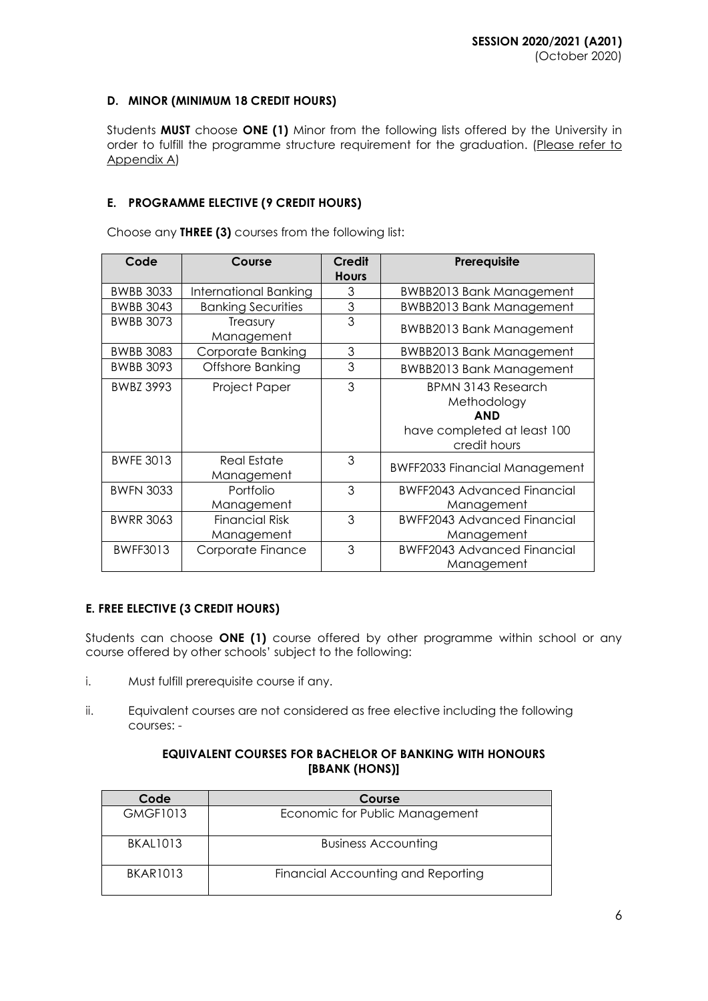# **D. MINOR (MINIMUM 18 CREDIT HOURS)**

Students **MUST** choose **ONE (1)** Minor from the following lists offered by the University in order to fulfill the programme structure requirement for the graduation. (Please refer to Appendix A)

# **E. PROGRAMME ELECTIVE (9 CREDIT HOURS)**

Choose any **THREE (3)** courses from the following list:

| Code             | Course                    | <b>Credit</b>  | Prerequisite                         |
|------------------|---------------------------|----------------|--------------------------------------|
|                  |                           | <b>Hours</b>   |                                      |
| <b>BWBB 3033</b> | International Banking     | 3              | <b>BWBB2013 Bank Management</b>      |
| <b>BWBB 3043</b> | <b>Banking Securities</b> | 3              | <b>BWBB2013 Bank Management</b>      |
| <b>BWBB 3073</b> | Treasury                  | 3              | <b>BWBB2013 Bank Management</b>      |
|                  | Management                |                |                                      |
| <b>BWBB 3083</b> | Corporate Banking         | $\mathfrak{S}$ | <b>BWBB2013 Bank Management</b>      |
| <b>BWBB 3093</b> | Offshore Banking          | 3              | <b>BWBB2013 Bank Management</b>      |
| <b>BWBZ 3993</b> | Project Paper             | 3              | <b>BPMN 3143 Research</b>            |
|                  |                           |                | Methodology                          |
|                  |                           |                | <b>AND</b>                           |
|                  |                           |                | have completed at least 100          |
|                  |                           |                | credit hours                         |
| <b>BWFE 3013</b> | Real Estate               | 3              |                                      |
|                  | Management                |                | <b>BWFF2033 Financial Management</b> |
| <b>BWFN 3033</b> | Portfolio                 | 3              | <b>BWFF2043 Advanced Financial</b>   |
|                  | Management                |                | Management                           |
| <b>BWRR 3063</b> | <b>Financial Risk</b>     | 3              | <b>BWFF2043 Advanced Financial</b>   |
|                  | Management                |                | Management                           |
| <b>BWFF3013</b>  | Corporate Finance         | 3              | <b>BWFF2043 Advanced Financial</b>   |
|                  |                           |                | Management                           |

# **E. FREE ELECTIVE (3 CREDIT HOURS)**

Students can choose **ONE (1)** course offered by other programme within school or any course offered by other schools' subject to the following:

- i. Must fulfill prerequisite course if any.
- ii. Equivalent courses are not considered as free elective including the following courses: -

### **EQUIVALENT COURSES FOR BACHELOR OF BANKING WITH HONOURS [BBANK (HONS)]**

| Code            | Course                             |
|-----------------|------------------------------------|
| <b>GMGF1013</b> | Economic for Public Management     |
| <b>BKAL1013</b> | <b>Business Accounting</b>         |
| <b>BKAR1013</b> | Financial Accounting and Reporting |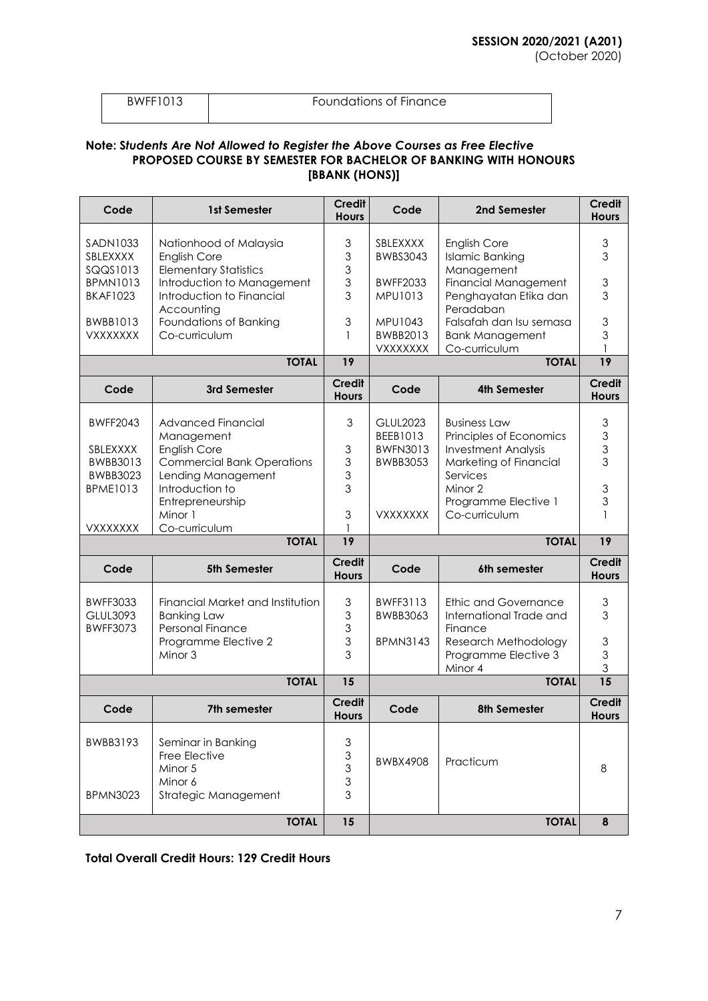(October 2020)

Foundations of Finance

## **Note: S***tudents Are Not Allowed to Register the Above Courses as Free Elective* **PROPOSED COURSE BY SEMESTER FOR BACHELOR OF BANKING WITH HONOURS [BBANK (HONS)]**

| Code                                                  | 1st Semester                                                                      | <b>Credit</b><br><b>Hours</b>                                                     | Code                                           | 2nd Semester                                                                 | <b>Credit</b><br><b>Hours</b>               |
|-------------------------------------------------------|-----------------------------------------------------------------------------------|-----------------------------------------------------------------------------------|------------------------------------------------|------------------------------------------------------------------------------|---------------------------------------------|
| SADN1033<br>SBLEXXXX<br>SQQS1013                      | Nationhood of Malaysia<br><b>English Core</b><br><b>Elementary Statistics</b>     | $\mathfrak{Z}$<br>3<br>3                                                          | SBLEXXXX<br><b>BWBS3043</b>                    | <b>English Core</b><br><b>Islamic Banking</b><br>Management                  | 3<br>3                                      |
| <b>BPMN1013</b><br><b>BKAF1023</b>                    | Introduction to Management<br>Introduction to Financial<br>Accounting             | $\mathfrak{S}$<br>3                                                               | <b>BWFF2033</b><br>MPU1013                     | <b>Financial Management</b><br>Penghayatan Etika dan<br>Peradaban            | $\mathfrak 3$<br>3                          |
| <b>BWBB1013</b><br><b>VXXXXXXX</b>                    | Foundations of Banking<br>Co-curriculum                                           | 3                                                                                 | MPU1043<br>BWBB2013<br><b>VXXXXXXX</b>         | Falsafah dan Isu semasa<br><b>Bank Management</b><br>Co-curriculum           | $\mathfrak 3$<br>3                          |
|                                                       | <b>TOTAL</b>                                                                      | 19                                                                                |                                                | <b>TOTAL</b>                                                                 | 19                                          |
| Code                                                  | 3rd Semester                                                                      | <b>Credit</b><br><b>Hours</b>                                                     | Code                                           | 4th Semester                                                                 | <b>Credit</b><br><b>Hours</b>               |
| <b>BWFF2043</b><br>SBLEXXXX                           | Advanced Financial<br>Management<br><b>English Core</b>                           | $\mathfrak{S}$<br>3                                                               | <b>GLUL2023</b><br>BEEB1013<br><b>BWFN3013</b> | <b>Business Law</b><br>Principles of Economics<br><b>Investment Analysis</b> | $\ensuremath{\mathsf{3}}$<br>$\mathfrak{S}$ |
| BWBB3013<br><b>BWBB3023</b><br><b>BPME1013</b>        | <b>Commercial Bank Operations</b><br>Lending Management<br>Introduction to        | $\ensuremath{\mathsf{3}}$<br>$\mathfrak{S}$<br>3                                  | <b>BWBB3053</b>                                | Marketing of Financial<br>Services<br>Minor 2                                | $\frac{3}{3}$<br>$\mathfrak 3$              |
| <b>VXXXXXXX</b>                                       | Entrepreneurship<br>Minor 1<br>Co-curriculum                                      | 3                                                                                 | <b>VXXXXXXX</b>                                | Programme Elective 1<br>Co-curriculum                                        | 3                                           |
|                                                       | <b>TOTAL</b>                                                                      | 19                                                                                |                                                | <b>TOTAL</b>                                                                 | 19                                          |
| Code                                                  | 5th Semester                                                                      | <b>Credit</b><br><b>Hours</b>                                                     | Code                                           | 6th semester                                                                 | <b>Credit</b><br><b>Hours</b>               |
| <b>BWFF3033</b><br><b>GLUL3093</b><br><b>BWFF3073</b> | Financial Market and Institution<br><b>Banking Law</b><br>Personal Finance        | $\ensuremath{\mathsf{3}}$<br>$\ensuremath{\mathsf{3}}$<br>3                       | BWFF3113<br>BWBB3063                           | Ethic and Governance<br>International Trade and<br>Finance                   | $\ensuremath{\mathsf{3}}$<br>3              |
|                                                       | Programme Elective 2<br>Minor 3                                                   | $\ensuremath{\mathsf{3}}$<br>3                                                    | <b>BPMN3143</b>                                | Research Methodology<br>Programme Elective 3<br>Minor 4                      | $\mathfrak 3$<br>3<br>3                     |
|                                                       | <b>TOTAL</b>                                                                      | 15                                                                                |                                                | <b>TOTAL</b>                                                                 | $\overline{15}$                             |
| Code                                                  | 7th semester                                                                      | <b>Credit</b><br><b>Hours</b>                                                     | Code                                           | 8th Semester                                                                 | <b>Credit</b><br><b>Hours</b>               |
| BWBB3193<br><b>BPMN3023</b>                           | Seminar in Banking<br>Free Elective<br>Minor 5<br>Minor 6<br>Strategic Management | $\mathsf 3$<br>$\ensuremath{\mathsf{3}}$<br>$\mathfrak{S}$<br>$\mathfrak{Z}$<br>3 | BWBX4908                                       | Practicum                                                                    | 8                                           |
|                                                       | <b>TOTAL</b>                                                                      | 15                                                                                |                                                | <b>TOTAL</b>                                                                 | 8                                           |

**Total Overall Credit Hours: 129 Credit Hours**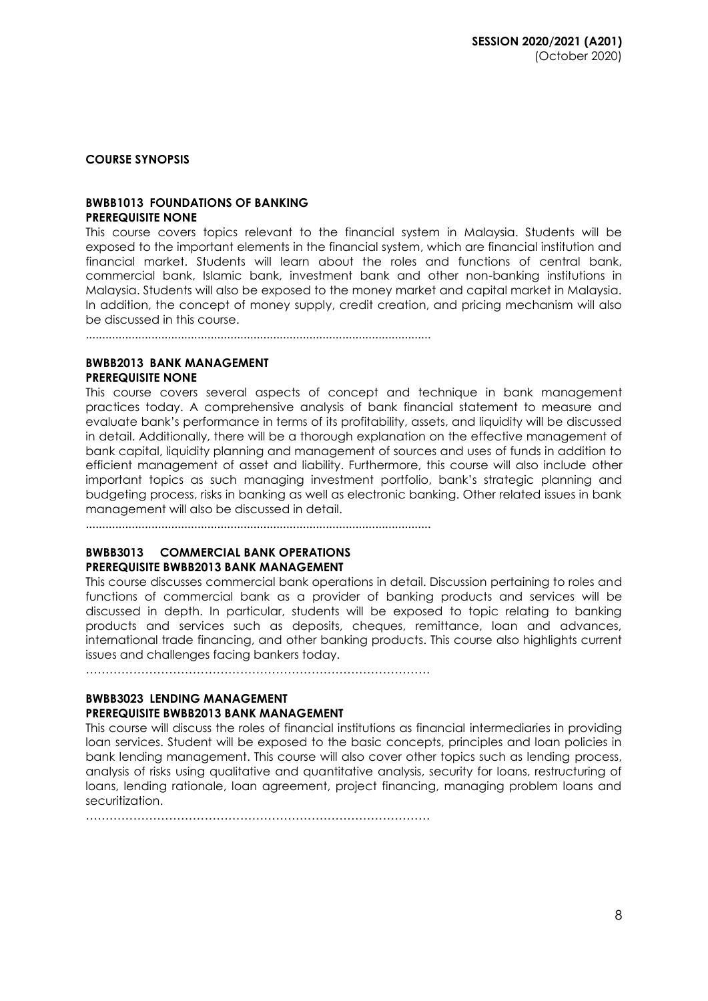**COURSE SYNOPSIS**

#### **BWBB1013 FOUNDATIONS OF BANKING PREREQUISITE NONE**

This course covers topics relevant to the financial system in Malaysia. Students will be exposed to the important elements in the financial system, which are financial institution and financial market. Students will learn about the roles and functions of central bank, commercial bank, Islamic bank, investment bank and other non-banking institutions in Malaysia. Students will also be exposed to the money market and capital market in Malaysia. In addition, the concept of money supply, credit creation, and pricing mechanism will also be discussed in this course.

.........................................................................................................

## **BWBB2013 BANK MANAGEMENT PREREQUISITE NONE**

This course covers several aspects of concept and technique in bank management practices today. A comprehensive analysis of bank financial statement to measure and evaluate bank's performance in terms of its profitability, assets, and liquidity will be discussed in detail. Additionally, there will be a thorough explanation on the effective management of bank capital, liquidity planning and management of sources and uses of funds in addition to efficient management of asset and liability. Furthermore, this course will also include other important topics as such managing investment portfolio, bank's strategic planning and budgeting process, risks in banking as well as electronic banking. Other related issues in bank management will also be discussed in detail.

.........................................................................................................

### **BWBB3013 COMMERCIAL BANK OPERATIONS PREREQUISITE BWBB2013 BANK MANAGEMENT**

This course discusses commercial bank operations in detail. Discussion pertaining to roles and functions of commercial bank as a provider of banking products and services will be discussed in depth. In particular, students will be exposed to topic relating to banking products and services such as deposits, cheques, remittance, loan and advances, international trade financing, and other banking products. This course also highlights current issues and challenges facing bankers today.

……………………………………………………………………………

#### **BWBB3023 LENDING MANAGEMENT PREREQUISITE BWBB2013 BANK MANAGEMENT**

This course will discuss the roles of financial institutions as financial intermediaries in providing loan services. Student will be exposed to the basic concepts, principles and loan policies in bank lending management. This course will also cover other topics such as lending process, analysis of risks using qualitative and quantitative analysis, security for loans, restructuring of loans, lending rationale, loan agreement, project financing, managing problem loans and securitization.

 $\mathcal{L}^{\text{max}}$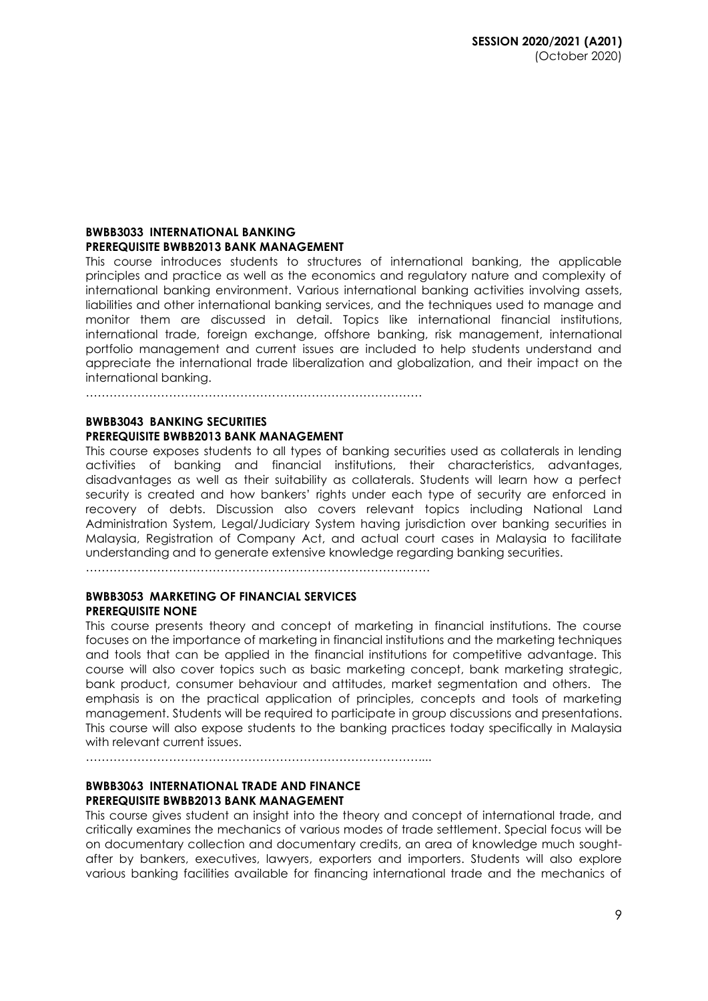#### **BWBB3033 INTERNATIONAL BANKING PREREQUISITE BWBB2013 BANK MANAGEMENT**

This course introduces students to structures of international banking, the applicable principles and practice as well as the economics and regulatory nature and complexity of international banking environment. Various international banking activities involving assets, liabilities and other international banking services, and the techniques used to manage and monitor them are discussed in detail. Topics like international financial institutions, international trade, foreign exchange, offshore banking, risk management, international portfolio management and current issues are included to help students understand and appreciate the international trade liberalization and globalization, and their impact on the international banking.

………………………………………………………………………….

### **BWBB3043 BANKING SECURITIES PREREQUISITE BWBB2013 BANK MANAGEMENT**

This course exposes students to all types of banking securities used as collaterals in lending activities of banking and financial institutions, their characteristics, advantages, disadvantages as well as their suitability as collaterals. Students will learn how a perfect security is created and how bankers' rights under each type of security are enforced in recovery of debts. Discussion also covers relevant topics including National Land Administration System, Legal/Judiciary System having jurisdiction over banking securities in Malaysia, Registration of Company Act, and actual court cases in Malaysia to facilitate understanding and to generate extensive knowledge regarding banking securities.

……………………………………………………………………………

## **BWBB3053 MARKETING OF FINANCIAL SERVICES PREREQUISITE NONE**

This course presents theory and concept of marketing in financial institutions. The course focuses on the importance of marketing in financial institutions and the marketing techniques and tools that can be applied in the financial institutions for competitive advantage. This course will also cover topics such as basic marketing concept, bank marketing strategic, bank product, consumer behaviour and attitudes, market segmentation and others. The emphasis is on the practical application of principles, concepts and tools of marketing management. Students will be required to participate in group discussions and presentations. This course will also expose students to the banking practices today specifically in Malaysia with relevant current issues.

…………………………………………………………………………....

#### **BWBB3063 INTERNATIONAL TRADE AND FINANCE PREREQUISITE BWBB2013 BANK MANAGEMENT**

This course gives student an insight into the theory and concept of international trade, and critically examines the mechanics of various modes of trade settlement. Special focus will be on documentary collection and documentary credits, an area of knowledge much soughtafter by bankers, executives, lawyers, exporters and importers. Students will also explore various banking facilities available for financing international trade and the mechanics of